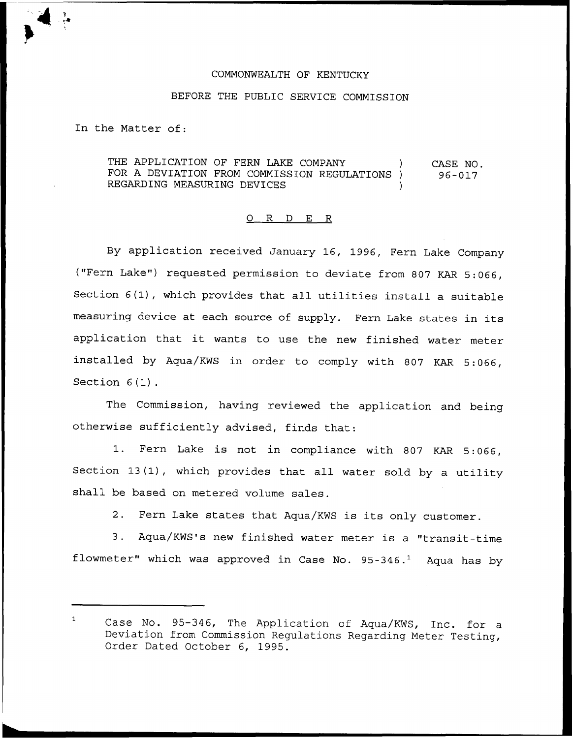## COMMONWEALTH OF KENTUCKY

## BEFORE THE PUBLIC SERVICE COMMISSION

In the Matter of:

THE APPLICATION OF FERN LAKE COMPANY ) FOR A DEVIATION FROM COMMISSION REGULATIONS ) REGARDING MEASURING DEVICES CASE NO. 96-017

## 0 R <sup>D</sup> E R

By application received January 16, 1996, Fern Lake Company ("Fern Lake") requested permission to deviate from 807 KAR 5:066, Section 6(1), which provides that all utilities install <sup>a</sup> suitable measuring device at each source of supply. Fern Lake states in its application that it wants to use the new finished water meter installed by Aqua/KWS in order to comply with <sup>807</sup> KAR 5:066, Section  $6(1)$ .

The Commission, having reviewed the application and being otherwise sufficiently advised, finds that:

1. Fern Lake is not in compliance with <sup>807</sup> KAR 5:066, Section 13(1), which provides that all water sold by <sup>a</sup> utility shall be based on metered volume sales.

2. Fern Lake states that Aqua/KWS is its only customer.

3. Aqua/KWS's new finished water meter is <sup>a</sup> "transit-time flowmeter" which was approved in Case No.  $95-346.^1$  Aqua has by

 $\mathbf{1}$ Case No. 95-346, The Application of Aqua/KWS, Inc. for a Deviation from Commission Regulations Regarding Meter Testing, Order Dated October 6, 1995.